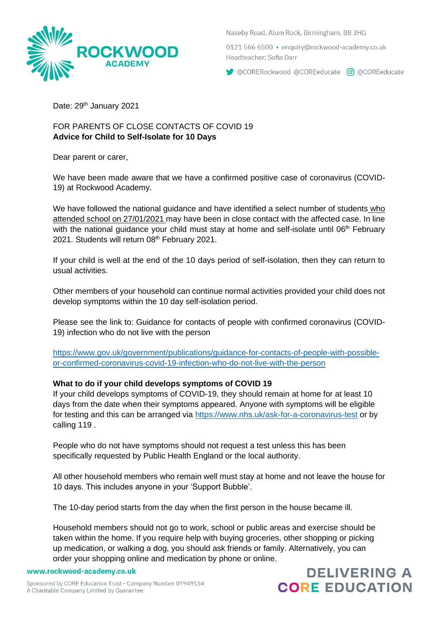

Naseby Road, Alum Rock, Birmingham, B8 3HG

0121 566 6500 · enguiry@rockwood-academy.co.uk Headteacher: Sofia Darr

CORERockwood @COREeducate 0 @COREeducate

Date: 29<sup>th</sup> January 2021

# FOR PARENTS OF CLOSE CONTACTS OF COVID 19 **Advice for Child to Self-Isolate for 10 Days**

Dear parent or carer,

We have been made aware that we have a confirmed positive case of coronavirus (COVID-19) at Rockwood Academy.

We have followed the national guidance and have identified a select number of students who attended school on 27/01/2021 may have been in close contact with the affected case. In line with the national guidance your child must stay at home and self-isolate until 06<sup>th</sup> February 2021. Students will return 08<sup>th</sup> February 2021.

If your child is well at the end of the 10 days period of self-isolation, then they can return to usual activities.

Other members of your household can continue normal activities provided your child does not develop symptoms within the 10 day self-isolation period.

Please see the link to: Guidance for contacts of people with confirmed coronavirus (COVID-19) infection who do not live with the person

[https://www.gov.uk/government/publications/guidance-for-contacts-of-people-with-possible](https://www.gov.uk/government/publications/guidance-for-contacts-of-people-with-possible-or-confirmed-coronavirus-covid-19-infection-who-do-not-live-with-the-person)[or-confirmed-coronavirus-covid-19-infection-who-do-not-live-with-the-person](https://www.gov.uk/government/publications/guidance-for-contacts-of-people-with-possible-or-confirmed-coronavirus-covid-19-infection-who-do-not-live-with-the-person)

# **What to do if your child develops symptoms of COVID 19**

If your child develops symptoms of COVID-19, they should remain at home for at least 10 days from the date when their symptoms appeared. Anyone with symptoms will be eligible for testing and this can be arranged via<https://www.nhs.uk/ask-for-a-coronavirus-test> or by calling 119 .

People who do not have symptoms should not request a test unless this has been specifically requested by Public Health England or the local authority.

All other household members who remain well must stay at home and not leave the house for 10 days. This includes anyone in your 'Support Bubble'.

The 10-day period starts from the day when the first person in the house became ill.

Household members should not go to work, school or public areas and exercise should be taken within the home. If you require help with buying groceries, other shopping or picking up medication, or walking a dog, you should ask friends or family. Alternatively, you can order your shopping online and medication by phone or online.

www.rockwood-academy.co.uk